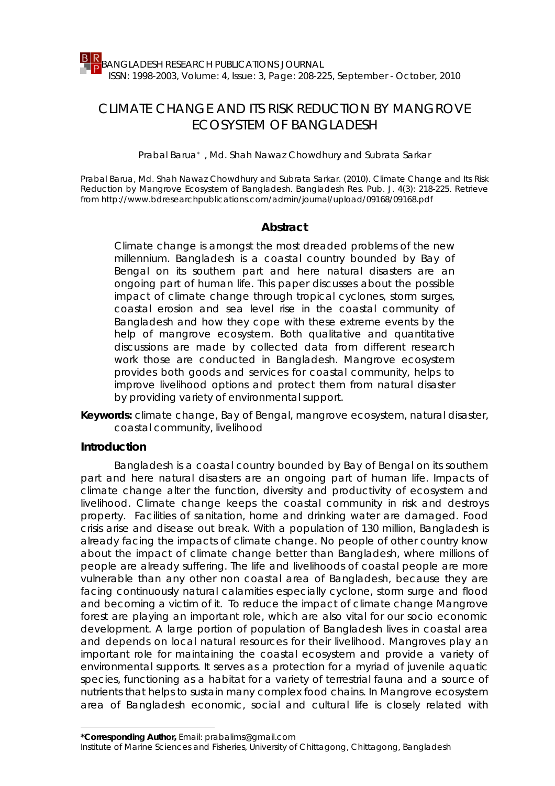# CLIMATE CHANGE AND ITS RISK REDUCTION BY MANGROVE ECOSYSTEM OF BANGLADESH

Prabal Barua\*, Md. Shah Nawaz Chowdhury and Subrata Sarkar

Prabal Barua, Md. Shah Nawaz Chowdhury and Subrata Sarkar. (2010). Climate Change and Its Risk Reduction by Mangrove Ecosystem of Bangladesh. Bangladesh Res. Pub. J. 4(3): 218-225. Retrieve from http://www.bdresearchpublications.com/admin/journal/upload/09168/09168.pdf

# **Abstract**

Climate change is amongst the most dreaded problems of the new millennium. Bangladesh is a coastal country bounded by Bay of Bengal on its southern part and here natural disasters are an ongoing part of human life. This paper discusses about the possible impact of climate change through tropical cyclones, storm surges, coastal erosion and sea level rise in the coastal community of Bangladesh and how they cope with these extreme events by the help of mangrove ecosystem. Both qualitative and quantitative discussions are made by collected data from different research work those are conducted in Bangladesh. Mangrove ecosystem provides both goods and services for coastal community, helps to improve livelihood options and protect them from natural disaster by providing variety of environmental support.

**Keywords:** climate change, Bay of Bengal, mangrove ecosystem, natural disaster, coastal community, livelihood

# **Introduction**

l

Bangladesh is a coastal country bounded by Bay of Bengal on its southern part and here natural disasters are an ongoing part of human life. Impacts of climate change alter the function, diversity and productivity of ecosystem and livelihood. Climate change keeps the coastal community in risk and destroys property. Facilities of sanitation, home and drinking water are damaged. Food crisis arise and disease out break. With a population of 130 million, Bangladesh is already facing the impacts of climate change. No people of other country know about the impact of climate change better than Bangladesh, where millions of people are already suffering. The life and livelihoods of coastal people are more vulnerable than any other non coastal area of Bangladesh, because they are facing continuously natural calamities especially cyclone, storm surge and flood and becoming a victim of it. To reduce the impact of climate change Mangrove forest are playing an important role, which are also vital for our socio economic development. A large portion of population of Bangladesh lives in coastal area and depends on local natural resources for their livelihood. Mangroves play an important role for maintaining the coastal ecosystem and provide a variety of environmental supports. It serves as a protection for a myriad of juvenile aquatic species, functioning as a habitat for a variety of terrestrial fauna and a source of nutrients that helps to sustain many complex food chains. In Mangrove ecosystem area of Bangladesh economic, social and cultural life is closely related with

**<sup>\*</sup>Corresponding Author,** Email: prabalims@gmail.com

Institute of Marine Sciences and Fisheries, University of Chittagong, Chittagong, Bangladesh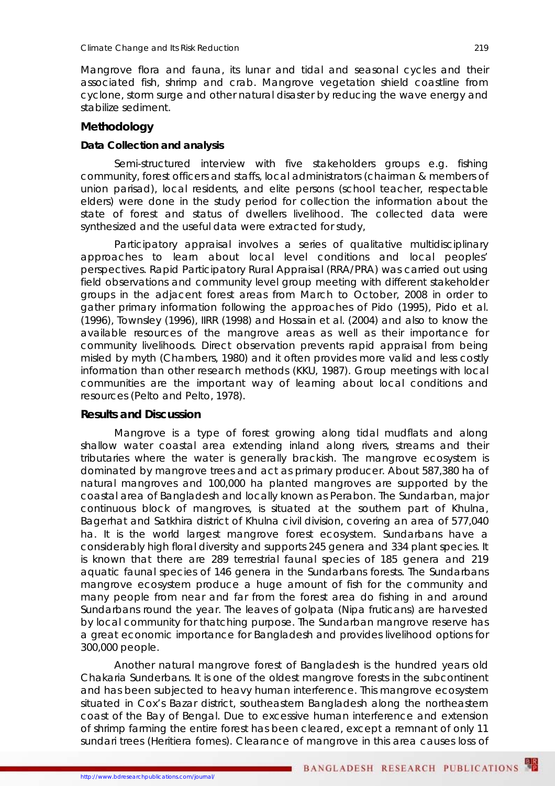Mangrove flora and fauna, its lunar and tidal and seasonal cycles and their associated fish, shrimp and crab. Mangrove vegetation shield coastline from cyclone, storm surge and other natural disaster by reducing the wave energy and stabilize sediment.

## **Methodology**

### *Data Collection and analysis*

Semi-structured interview with five stakeholders groups e.g. fishing community, forest officers and staffs, local administrators (chairman & members of union parisad), local residents, and elite persons (school teacher, respectable elders) were done in the study period for collection the information about the state of forest and status of dwellers livelihood. The collected data were synthesized and the useful data were extracted for study,

Participatory appraisal involves a series of qualitative multidisciplinary approaches to learn about local level conditions and local peoples' perspectives. Rapid Participatory Rural Appraisal (RRA/PRA) was carried out using field observations and community level group meeting with different stakeholder groups in the adjacent forest areas from March to October, 2008 in order to gather primary information following the approaches of Pido (1995), Pido *et al.* (1996), Townsley (1996), IIRR (1998) and Hossain *et al.* (2004) and also to know the available resources of the mangrove areas as well as their importance for community livelihoods. Direct observation prevents rapid appraisal from being misled by myth (Chambers, 1980) and it often provides more valid and less costly information than other research methods (KKU, 1987). Group meetings with local communities are the important way of learning about local conditions and resources (Pelto and Pelto, 1978).

## **Results and Discussion**

Mangrove is a type of forest growing along tidal mudflats and along shallow water coastal area extending inland along rivers, streams and their tributaries where the water is generally brackish. The mangrove ecosystem is dominated by mangrove trees and act as primary producer. About 587,380 ha of natural mangroves and 100,000 ha planted mangroves are supported by the coastal area of Bangladesh and locally known as *Perabon*. The Sundarban, major continuous block of mangroves, is situated at the southern part of Khulna, Bagerhat and Satkhira district of Khulna civil division, covering an area of 577,040 ha. It is the world largest mangrove forest ecosystem. Sundarbans have a considerably high floral diversity and supports 245 genera and 334 plant species. It is known that there are 289 terrestrial faunal species of 185 genera and 219 aquatic faunal species of 146 genera in the Sundarbans forests. The Sundarbans mangrove ecosystem produce a huge amount of fish for the community and many people from near and far from the forest area do fishing in and around Sundarbans round the year. The leaves of golpata (*Nipa fruticans*) are harvested by local community for thatching purpose. The Sundarban mangrove reserve has a great economic importance for Bangladesh and provides livelihood options for 300,000 people.

Another natural mangrove forest of Bangladesh is the hundred years old Chakaria Sunderbans. It is one of the oldest mangrove forests in the subcontinent and has been subjected to heavy human interference. This mangrove ecosystem situated in Cox's Bazar district, southeastern Bangladesh along the northeastern coast of the Bay of Bengal. Due to excessive human interference and extension of shrimp farming the entire forest has been cleared, except a remnant of only 11 sundari trees (*Heritiera fomes*). Clearance of mangrove in this area causes loss of

۰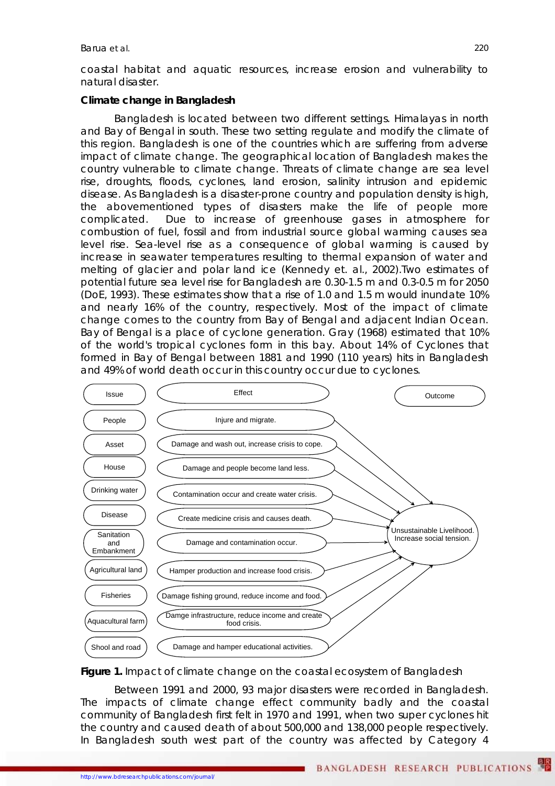coastal habitat and aquatic resources, increase erosion and vulnerability to natural disaster.

## *Climate change in Bangladesh*

Bangladesh is located between two different settings. Himalayas in north and Bay of Bengal in south. These two setting regulate and modify the climate of this region. Bangladesh is one of the countries which are suffering from adverse impact of climate change. The geographical location of Bangladesh makes the country vulnerable to climate change. Threats of climate change are sea level rise, droughts, floods, cyclones, land erosion, salinity intrusion and epidemic disease. As Bangladesh is a disaster-prone country and population density is high, the abovementioned types of disasters make the life of people more complicated. Due to increase of greenhouse gases in atmosphere for combustion of fuel, fossil and from industrial source global warming causes sea level rise. Sea-level rise as a consequence of global warming is caused by increase in seawater temperatures resulting to thermal expansion of water and melting of glacier and polar land ice (Kennedy *et. al.*, 2002).Two estimates of potential future sea level rise for Bangladesh are 0.30-1.5 m and 0.3-0.5 m for 2050 (DoE, 1993). These estimates show that a rise of 1.0 and 1.5 m would inundate 10% and nearly 16% of the country, respectively. Most of the impact of climate change comes to the country from Bay of Bengal and adjacent Indian Ocean. Bay of Bengal is a place of cyclone generation. Gray (1968) estimated that 10% of the world's tropical cyclones form in this bay. About 14% of Cyclones that formed in Bay of Bengal between 1881 and 1990 (110 years) hits in Bangladesh and 49% of world death occur in this country occur due to cyclones.



**Figure 1.** Impact of climate change on the coastal ecosystem of Bangladesh

Between 1991 and 2000, 93 major disasters were recorded in Bangladesh. The impacts of climate change effect community badly and the coastal community of Bangladesh first felt in 1970 and 1991, when two super cyclones hit the country and caused death of about 500,000 and 138,000 people respectively. In Bangladesh south west part of the country was affected by Category 4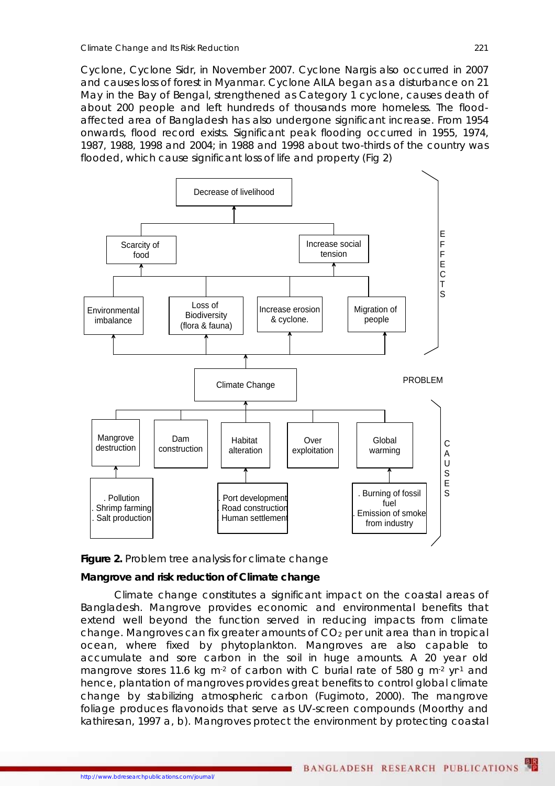Cyclone, Cyclone Sidr, in November 2007. Cyclone Nargis also occurred in 2007 and causes loss of forest in Myanmar. Cyclone AILA began as a disturbance on 21 May in the Bay of Bengal, strengthened as Category 1 cyclone, causes death of about 200 people and left hundreds of thousands more homeless. The floodaffected area of Bangladesh has also undergone significant increase. From 1954 onwards, flood record exists. Significant peak flooding occurred in 1955, 1974, 1987, 1988, 1998 and 2004; in 1988 and 1998 about two-thirds of the country was flooded, which cause significant loss of life and property (Fig 2)





# *Mangrove and risk reduction of Climate change*

Climate change constitutes a significant impact on the coastal areas of Bangladesh. Mangrove provides economic and environmental benefits that extend well beyond the function served in reducing impacts from climate change. Mangroves can fix greater amounts of CO2 per unit area than in tropical ocean, where fixed by phytoplankton. Mangroves are also capable to accumulate and sore carbon in the soil in huge amounts. A 20 year old mangrove stores 11.6 kg m<sup>-2</sup> of carbon with C burial rate of 580 g m<sup>-2</sup> yr<sup>-1</sup> and hence, plantation of mangroves provides great benefits to control global climate change by stabilizing atmospheric carbon (Fugimoto, 2000). The mangrove foliage produces flavonoids that serve as UV-screen compounds (Moorthy and kathiresan, 1997 a, b). Mangroves protect the environment by protecting coastal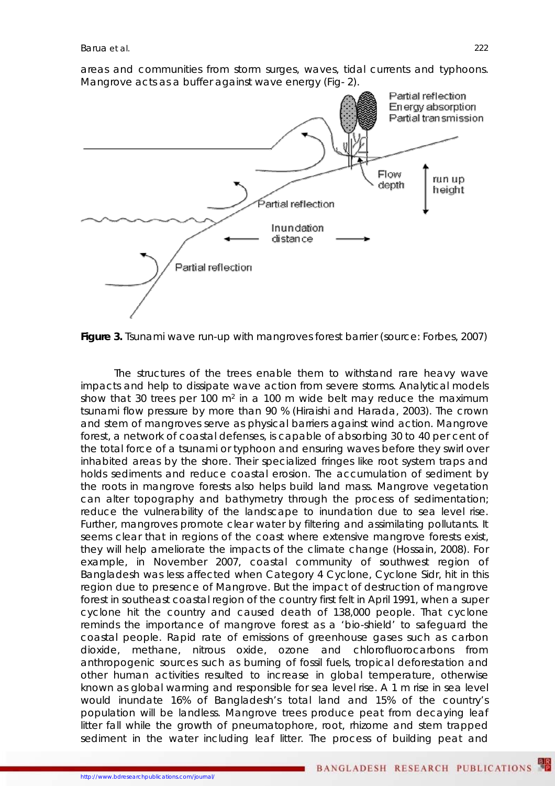areas and communities from storm surges, waves, tidal currents and typhoons. Mangrove acts as a buffer against wave energy (Fig- 2).



**Figure 3.** Tsunami wave run-up with mangroves forest barrier *(source: Forbes, 2007)*

The structures of the trees enable them to withstand rare heavy wave impacts and help to dissipate wave action from severe storms. Analytical models show that 30 trees per 100  $m<sup>2</sup>$  in a 100 m wide belt may reduce the maximum tsunami flow pressure by more than 90 % (Hiraishi and Harada, 2003). The crown and stem of mangroves serve as physical barriers against wind action. Mangrove forest, a network of coastal defenses, is capable of absorbing 30 to 40 per cent of the total force of a tsunami or typhoon and ensuring waves before they swirl over inhabited areas by the shore. Their specialized fringes like root system traps and holds sediments and reduce coastal erosion. The accumulation of sediment by the roots in mangrove forests also helps build land mass. Mangrove vegetation can alter topography and bathymetry through the process of sedimentation; reduce the vulnerability of the landscape to inundation due to sea level rise. Further, mangroves promote clear water by filtering and assimilating pollutants. It seems clear that in regions of the coast where extensive mangrove forests exist, they will help ameliorate the impacts of the climate change (Hossain, 2008). For example, in November 2007, coastal community of southwest region of Bangladesh was less affected when Category 4 Cyclone, Cyclone Sidr, hit in this region due to presence of Mangrove. But the impact of destruction of mangrove forest in southeast coastal region of the country first felt in April 1991, when a super cyclone hit the country and caused death of 138,000 people. That cyclone reminds the importance of mangrove forest as a 'bio-shield' to safeguard the coastal people. Rapid rate of emissions of greenhouse gases such as carbon dioxide, methane, nitrous oxide, ozone and chlorofluorocarbons from anthropogenic sources such as burning of fossil fuels, tropical deforestation and other human activities resulted to increase in global temperature, otherwise known as global warming and responsible for sea level rise. A 1 m rise in sea level would inundate 16% of Bangladesh's total land and 15% of the country's population will be landless. Mangrove trees produce peat from decaying leaf litter fall while the growth of pneumatophore, root, rhizome and stem trapped sediment in the water including leaf litter. The process of building peat and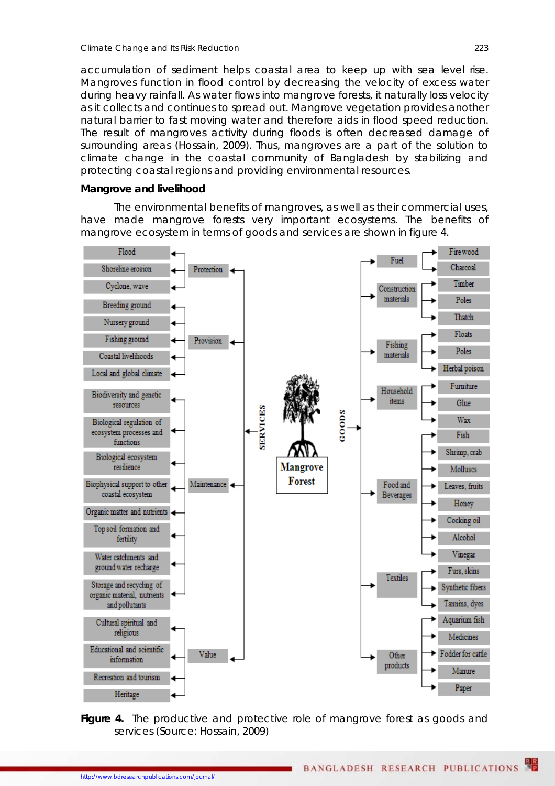accumulation of sediment helps coastal area to keep up with sea level rise. Mangroves function in flood control by decreasing the velocity of excess water during heavy rainfall. As water flows into mangrove forests, it naturally loss velocity as it collects and continues to spread out. Mangrove vegetation provides another natural barrier to fast moving water and therefore aids in flood speed reduction. The result of mangroves activity during floods is often decreased damage of surrounding areas (Hossain, 2009). Thus, mangroves are a part of the solution to climate change in the coastal community of Bangladesh by stabilizing and protecting coastal regions and providing environmental resources.

#### *Mangrove and livelihood*

The environmental benefits of mangroves, as well as their commercial uses, have made mangrove forests very important ecosystems. The benefits of mangrove ecosystem in terms of goods and services are shown in figure 4.



**Figure 4.** The productive and protective role of mangrove forest as goods and services *(Source: Hossain, 2009)*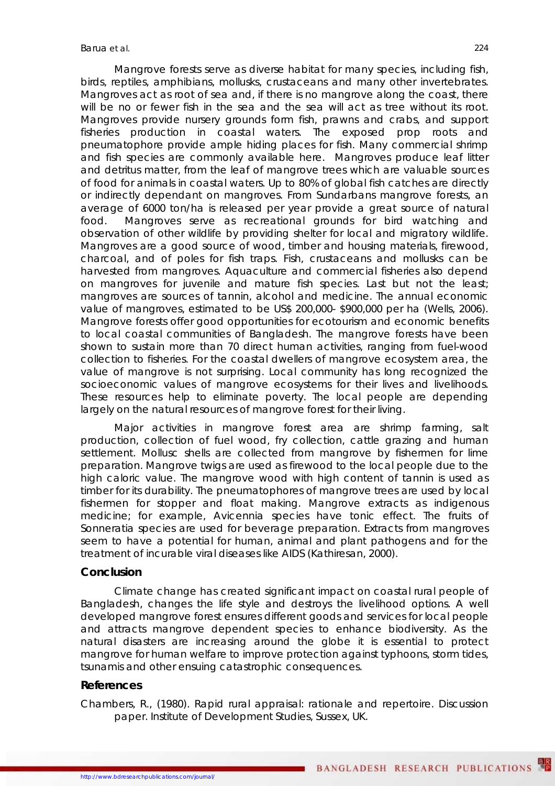Mangrove forests serve as diverse habitat for many species, including fish, birds, reptiles, amphibians, mollusks, crustaceans and many other invertebrates. Mangroves act as root of sea and, if there is no mangrove along the coast, there will be no or fewer fish in the sea and the sea will act as tree without its root. Mangroves provide nursery grounds form fish, prawns and crabs, and support fisheries production in coastal waters. The exposed prop roots and pneumatophore provide ample hiding places for fish. Many commercial shrimp and fish species are commonly available here. Mangroves produce leaf litter and detritus matter, from the leaf of mangrove trees which are valuable sources of food for animals in coastal waters. Up to 80% of global fish catches are directly or indirectly dependant on mangroves. From Sundarbans mangrove forests, an average of 6000 ton/ha is released per year provide a great source of natural food. Mangroves serve as recreational grounds for bird watching and observation of other wildlife by providing shelter for local and migratory wildlife. Mangroves are a good source of wood, timber and housing materials, firewood, charcoal, and of poles for fish traps. Fish, crustaceans and mollusks can be harvested from mangroves. Aquaculture and commercial fisheries also depend on mangroves for juvenile and mature fish species. Last but not the least; mangroves are sources of tannin, alcohol and medicine. The annual economic value of mangroves, estimated to be US\$ 200,000- \$900,000 per ha (Wells, 2006). Mangrove forests offer good opportunities for ecotourism and economic benefits to local coastal communities of Bangladesh. The mangrove forests have been shown to sustain more than 70 direct human activities, ranging from fuel-wood collection to fisheries. For the coastal dwellers of mangrove ecosystem area, the value of mangrove is not surprising. Local community has long recognized the socioeconomic values of mangrove ecosystems for their lives and livelihoods. These resources help to eliminate poverty. The local people are depending largely on the natural resources of mangrove forest for their living.

Major activities in mangrove forest area are shrimp farming, salt production, collection of fuel wood, fry collection, cattle grazing and human settlement. Mollusc shells are collected from mangrove by fishermen for lime preparation. Mangrove twigs are used as firewood to the local people due to the high caloric value. The mangrove wood with high content of tannin is used as timber for its durability. The pneumatophores of mangrove trees are used by local fishermen for stopper and float making. Mangrove extracts as indigenous medicine; for example, *Avicennia* species have tonic effect. The fruits of *Sonneratia* species are used for beverage preparation. Extracts from mangroves seem to have a potential for human, animal and plant pathogens and for the treatment of incurable viral diseases like AIDS (Kathiresan, 2000).

#### **Conclusion**

Climate change has created significant impact on coastal rural people of Bangladesh, changes the life style and destroys the livelihood options. A well developed mangrove forest ensures different goods and services for local people and attracts mangrove dependent species to enhance biodiversity. As the natural disasters are increasing around the globe it is essential to protect mangrove for human welfare to improve protection against typhoons, storm tides, tsunamis and other ensuing catastrophic consequences.

#### **References**

Chambers, R., (1980). Rapid rural appraisal: rationale and repertoire. Discussion paper. Institute of Development Studies, Sussex, UK.